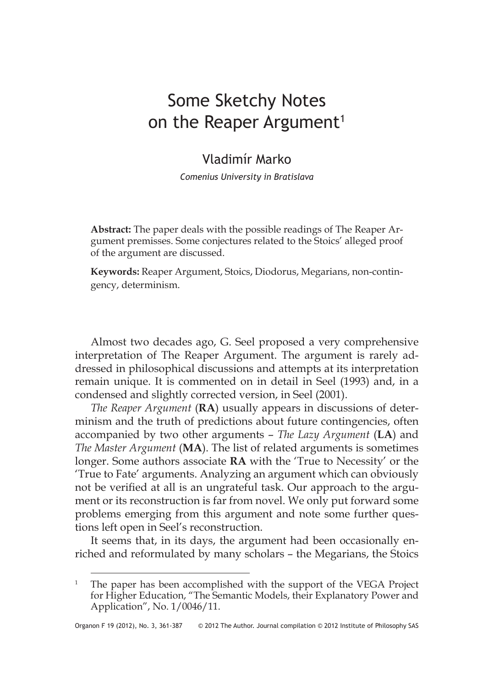# Some Sketchy Notes on the Reaper Argument<sup>1</sup>

# Vladimír Marko

*Comenius University in Bratislava*

**Abstract:** The paper deals with the possible readings of The Reaper Argument premisses. Some conjectures related to the Stoics' alleged proof of the argument are discussed.

**Keywords:** Reaper Argument, Stoics, Diodorus, Megarians, non-contingency, determinism.

Almost two decades ago, G. Seel proposed a very comprehensive interpretation of The Reaper Argument. The argument is rarely addressed in philosophical discussions and attempts at its interpretation remain unique. It is commented on in detail in Seel (1993) and, in a condensed and slightly corrected version, in Seel (2001).

*The Reaper Argument* (**RA**) usually appears in discussions of determinism and the truth of predictions about future contingencies, often accompanied by two other arguments – *The Lazy Argument* (**LA**) and *The Master Argument* (**MA**). The list of related arguments is sometimes longer. Some authors associate **RA** with the 'True to Necessity' or the 'True to Fate' arguments. Analyzing an argument which can obviously not be verified at all is an ungrateful task. Our approach to the argument or its reconstruction is far from novel. We only put forward some problems emerging from this argument and note some further questions left open in Seel's reconstruction.

It seems that, in its days, the argument had been occasionally enriched and reformulated by many scholars – the Megarians, the Stoics

<sup>&</sup>lt;sup>1</sup> The paper has been accomplished with the support of the VEGA Project for Higher Education, "The Semantic Models, their Explanatory Power and Application", No. 1/0046/11.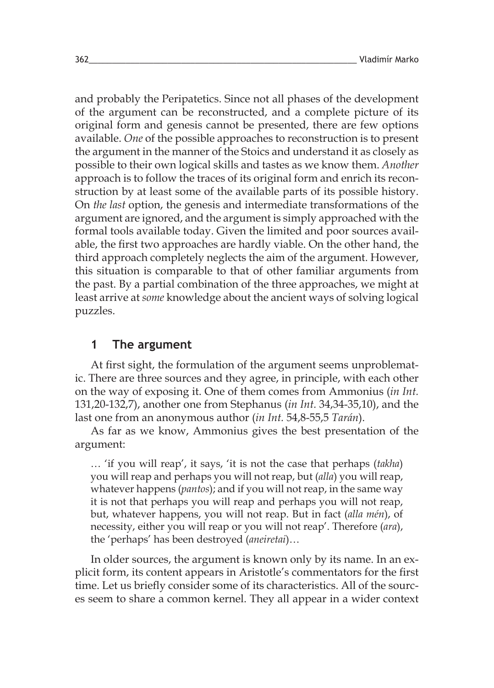and probably the Peripatetics. Since not all phases of the development of the argument can be reconstructed, and a complete picture of its original form and genesis cannot be presented, there are few options available. *One* of the possible approaches to reconstruction is to present the argument in the manner of the Stoics and understand it as closely as possible to their own logical skills and tastes as we know them. *Another* approach is to follow the traces of its original form and enrich its reconstruction by at least some of the available parts of its possible history. On *the last* option, the genesis and intermediate transformations of the argument are ignored, and the argument is simply approached with the formal tools available today. Given the limited and poor sources available, the first two approaches are hardly viable. On the other hand, the third approach completely neglects the aim of the argument. However, this situation is comparable to that of other familiar arguments from the past. By a partial combination of the three approaches, we might at least arrive at *some* knowledge about the ancient ways of solving logical puzzles.

### **1 The argument**

At first sight, the formulation of the argument seems unproblematic. There are three sources and they agree, in principle, with each other on the way of exposing it. One of them comes from Ammonius (*in Int.* 131,20-132,7), another one from Stephanus (*in Int.* 34,34-35,10), and the last one from an anonymous author (*in Int.* 54,8-55,5 *Tarán*).

As far as we know, Ammonius gives the best presentation of the argument:

… 'if you will reap', it says, 'it is not the case that perhaps (*takha*) you will reap and perhaps you will not reap, but (*alla*) you will reap, whatever happens (*pantos*); and if you will not reap, in the same way it is not that perhaps you will reap and perhaps you will not reap, but, whatever happens, you will not reap. But in fact (*alla mén*), of necessity, either you will reap or you will not reap'. Therefore (*ara*), the 'perhaps' has been destroyed (*aneiretai*)…

In older sources, the argument is known only by its name. In an explicit form, its content appears in Aristotle's commentators for the first time. Let us briefly consider some of its characteristics. All of the sources seem to share a common kernel. They all appear in a wider context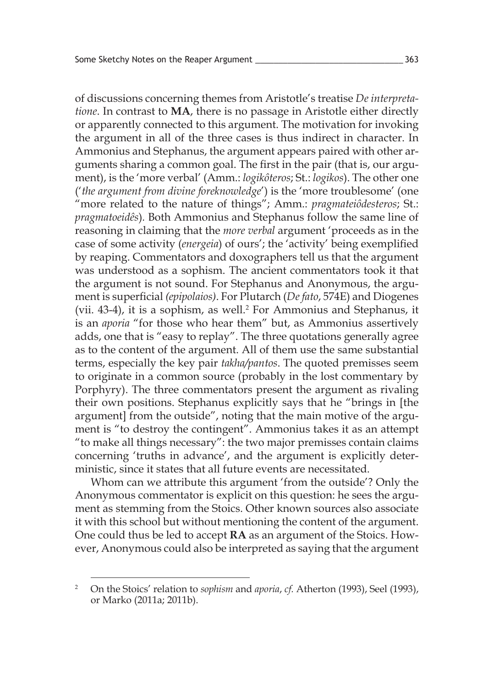of discussions concerning themes from Aristotle's treatise *De interpretatione*. In contrast to **MA**, there is no passage in Aristotle either directly or apparently connected to this argument. The motivation for invoking the argument in all of the three cases is thus indirect in character. In Ammonius and Stephanus, the argument appears paired with other arguments sharing a common goal. The first in the pair (that is, our argument), is the 'more verbal' (Amm.: *logikôteros*; St.: *logikos*). The other one ('*the argument from divine foreknowledge*') is the 'more troublesome' (one "more related to the nature of things"; Amm.: *pragmateiôdesteros*; St.: *pragmatoeidês*)*.* Both Ammonius and Stephanus follow the same line of reasoning in claiming that the *more verbal* argument 'proceeds as in the case of some activity (*energeia*) of ours'; the 'activity' being exemplified by reaping. Commentators and doxographers tell us that the argument was understood as a sophism. The ancient commentators took it that the argument is not sound. For Stephanus and Anonymous, the argument is superficial *(epipolaios)*. For Plutarch (*De fato*, 574E) and Diogenes (vii. 43-4), it is a sophism, as well.<sup>2</sup> For Ammonius and Stephanus, it is an *aporia* "for those who hear them" but, as Ammonius assertively adds, one that is "easy to replay". The three quotations generally agree as to the content of the argument. All of them use the same substantial terms, especially the key pair *takha/pantos*. The quoted premisses seem to originate in a common source (probably in the lost commentary by Porphyry). The three commentators present the argument as rivaling their own positions. Stephanus explicitly says that he "brings in [the argument] from the outside", noting that the main motive of the argument is "to destroy the contingent". Ammonius takes it as an attempt "to make all things necessary": the two major premisses contain claims concerning 'truths in advance', and the argument is explicitly deterministic, since it states that all future events are necessitated.

Whom can we attribute this argument 'from the outside'? Only the Anonymous commentator is explicit on this question: he sees the argument as stemming from the Stoics. Other known sources also associate it with this school but without mentioning the content of the argument. One could thus be led to accept **RA** as an argument of the Stoics. However, Anonymous could also be interpreted as saying that the argument

<sup>&</sup>lt;sup>2</sup> On the Stoics' relation to *sophism* and *aporia*, *cf.* Atherton (1993), Seel (1993), or Marko (2011a; 2011b).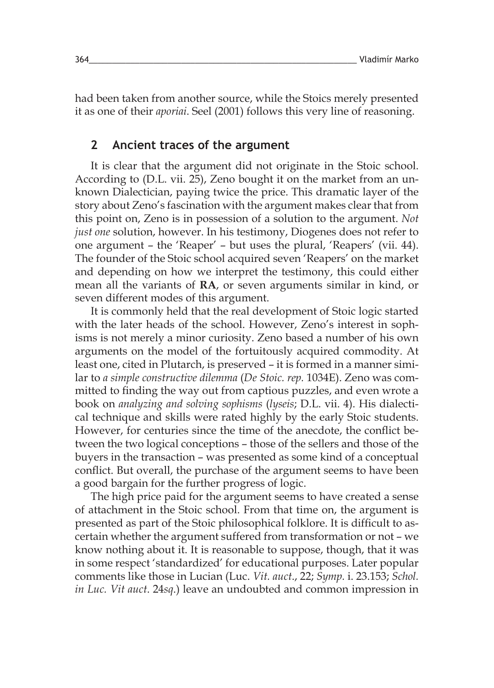had been taken from another source, while the Stoics merely presented it as one of their *aporiai*. Seel (2001) follows this very line of reasoning.

#### **2 Ancient traces of the argument**

It is clear that the argument did not originate in the Stoic school. According to (D.L. vii. 25), Zeno bought it on the market from an unknown Dialectician, paying twice the price. This dramatic layer of the story about Zeno's fascination with the argument makes clear that from this point on, Zeno is in possession of a solution to the argument. *Not just one* solution, however. In his testimony, Diogenes does not refer to one argument – the 'Reaper' – but uses the plural, 'Reapers' (vii. 44). The founder of the Stoic school acquired seven 'Reapers' on the market and depending on how we interpret the testimony, this could either mean all the variants of **RA**, or seven arguments similar in kind, or seven different modes of this argument.

It is commonly held that the real development of Stoic logic started with the later heads of the school. However, Zeno's interest in sophisms is not merely a minor curiosity. Zeno based a number of his own arguments on the model of the fortuitously acquired commodity. At least one, cited in Plutarch, is preserved – it is formed in a manner similar to *a simple constructive dilemma* (*De Stoic. rep.* 1034E). Zeno was committed to finding the way out from captious puzzles, and even wrote a book on *analyzing and solving sophisms* (*lyseis*; D.L. vii. 4). His dialectical technique and skills were rated highly by the early Stoic students. However, for centuries since the time of the anecdote, the conflict between the two logical conceptions – those of the sellers and those of the buyers in the transaction – was presented as some kind of a conceptual conflict. But overall, the purchase of the argument seems to have been a good bargain for the further progress of logic.

The high price paid for the argument seems to have created a sense of attachment in the Stoic school. From that time on, the argument is presented as part of the Stoic philosophical folklore. It is difficult to ascertain whether the argument suffered from transformation or not – we know nothing about it. It is reasonable to suppose, though, that it was in some respect 'standardized' for educational purposes. Later popular comments like those in Lucian (Luc. *Vit. auct*., 22; *Symp.* i. 23.153; *Schol. in Luc. Vit auct*. 24*sq*.) leave an undoubted and common impression in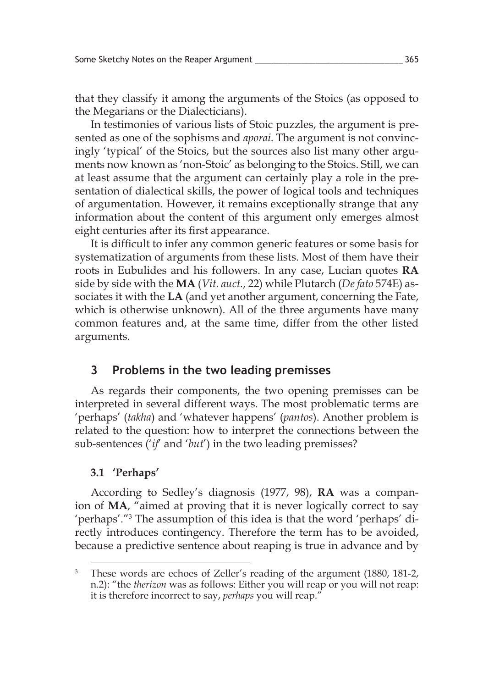that they classify it among the arguments of the Stoics (as opposed to the Megarians or the Dialecticians).

In testimonies of various lists of Stoic puzzles, the argument is presented as one of the sophisms and *aporai*. The argument is not convincingly 'typical' of the Stoics, but the sources also list many other arguments now known as 'non-Stoic' as belonging to the Stoics. Still, we can at least assume that the argument can certainly play a role in the presentation of dialectical skills, the power of logical tools and techniques of argumentation. However, it remains exceptionally strange that any information about the content of this argument only emerges almost eight centuries after its first appearance.

It is difficult to infer any common generic features or some basis for systematization of arguments from these lists. Most of them have their roots in Eubulides and his followers. In any case, Lucian quotes **RA** side by side with the **MA** (*Vit. auct.*, 22) while Plutarch (*De fato* 574E) associates it with the **LA** (and yet another argument, concerning the Fate, which is otherwise unknown). All of the three arguments have many common features and, at the same time, differ from the other listed arguments.

#### **3 Problems in the two leading premisses**

As regards their components, the two opening premisses can be interpreted in several different ways. The most problematic terms are 'perhaps' (*takha*) and 'whatever happens' (*pantos*). Another problem is related to the question: how to interpret the connections between the sub-sentences ('*if*' and '*but*') in the two leading premisses?

#### **3.1 'Perhaps'**

According to Sedley's diagnosis (1977, 98), **RA** was a companion of **MA**, "aimed at proving that it is never logically correct to say 'perhaps'."<sup>3</sup> The assumption of this idea is that the word 'perhaps' directly introduces contingency. Therefore the term has to be avoided, because a predictive sentence about reaping is true in advance and by

<sup>&</sup>lt;sup>3</sup> These words are echoes of Zeller's reading of the argument (1880, 181-2, n.2): "the *therizon* was as follows: Either you will reap or you will not reap: it is therefore incorrect to say, *perhaps* you will reap."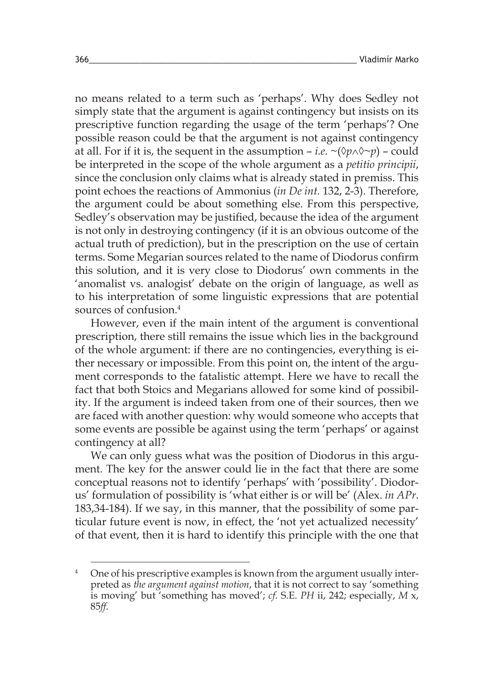no means related to a term such as 'perhaps'. Why does Sedley not simply state that the argument is against contingency but insists on its prescriptive function regarding the usage of the term 'perhaps'? One possible reason could be that the argument is not against contingency at all. For if it is, the sequent in the assumption – *i.e.*  $\sim$  ( $\lozenge p \wedge \lozenge \sim p$ ) – could be interpreted in the scope of the whole argument as a *petitio principii*, since the conclusion only claims what is already stated in premiss. This point echoes the reactions of Ammonius (*in De int.* 132, 2-3). Therefore, the argument could be about something else. From this perspective, Sedley's observation may be justified, because the idea of the argument is not only in destroying contingency (if it is an obvious outcome of the actual truth of prediction), but in the prescription on the use of certain terms. Some Megarian sources related to the name of Diodorus confirm this solution, and it is very close to Diodorus' own comments in the 'anomalist vs. analogist' debate on the origin of language, as well as to his interpretation of some linguistic expressions that are potential sources of confusion<sup>4</sup>

However, even if the main intent of the argument is conventional prescription, there still remains the issue which lies in the background of the whole argument: if there are no contingencies, everything is either necessary or impossible. From this point on, the intent of the argument corresponds to the fatalistic attempt. Here we have to recall the fact that both Stoics and Megarians allowed for some kind of possibility. If the argument is indeed taken from one of their sources, then we are faced with another question: why would someone who accepts that some events are possible be against using the term 'perhaps' or against contingency at all?

We can only guess what was the position of Diodorus in this argument. The key for the answer could lie in the fact that there are some conceptual reasons not to identify 'perhaps' with 'possibility'. Diodorus' formulation of possibility is 'what either is or will be' (Alex. *in APr*. 183,34-184). If we say, in this manner, that the possibility of some particular future event is now, in effect, the 'not yet actualized necessity' of that event, then it is hard to identify this principle with the one that

<sup>&</sup>lt;sup>4</sup> One of his prescriptive examples is known from the argument usually interpreted as *the argument against motion*, that it is not correct to say 'something is moving' but 'something has moved'; *cf.* S.E. *PH* ii, 242; especially, *M* x, 85*ff*.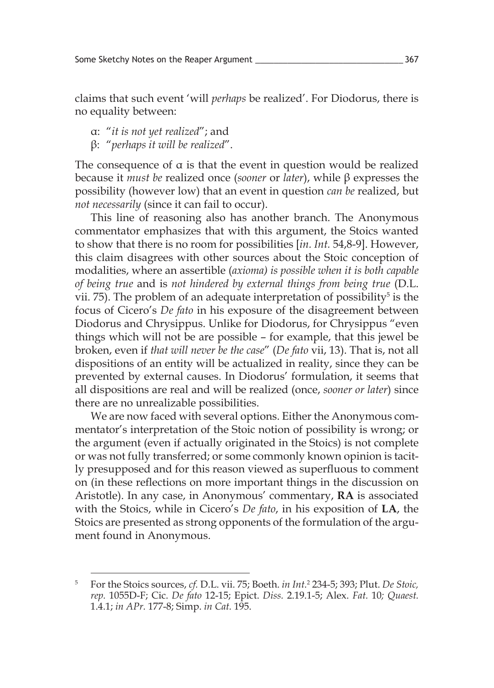claims that such event 'will *perhaps* be realized'. For Diodorus, there is no equality between:

α: "*it is not yet realized*"; and

β: "*perhaps it will be realized*".

The consequence of  $\alpha$  is that the event in question would be realized because it *must be* realized once (*sooner* or *later*), while β expresses the possibility (however low) that an event in question *can be* realized, but *not necessarily* (since it can fail to occur).

This line of reasoning also has another branch. The Anonymous commentator emphasizes that with this argument, the Stoics wanted to show that there is no room for possibilities [*in. Int.* 54,8-9]. However, this claim disagrees with other sources about the Stoic conception of modalities, where an assertible (*axioma) is possible when it is both capable of being true* and is *not hindered by external things from being true* (D.L. vii. 75). The problem of an adequate interpretation of possibility<sup>5</sup> is the focus of Cicero's *De fato* in his exposure of the disagreement between Diodorus and Chrysippus. Unlike for Diodorus, for Chrysippus "even things which will not be are possible – for example, that this jewel be broken, even if *that will never be the case*" (*De fato* vii, 13). That is, not all dispositions of an entity will be actualized in reality, since they can be prevented by external causes. In Diodorus' formulation, it seems that all dispositions are real and will be realized (once, *sooner or later*) since there are no unrealizable possibilities.

We are now faced with several options. Either the Anonymous commentator's interpretation of the Stoic notion of possibility is wrong; or the argument (even if actually originated in the Stoics) is not complete or was not fully transferred; or some commonly known opinion is tacitly presupposed and for this reason viewed as superfluous to comment on (in these reflections on more important things in the discussion on Aristotle). In any case, in Anonymous' commentary, **RA** is associated with the Stoics, while in Cicero's *De fato*, in his exposition of **LA**, the Stoics are presented as strong opponents of the formulation of the argument found in Anonymous.

<sup>5</sup> For the Stoics sources, *cf.* D.L. vii. 75; Boeth. *in Int.*<sup>2</sup> 234-5; 393; Plut. *De Stoic, rep.* 1055D-F; Cic. *De fato* 12-15; Epict. *Diss.* 2.19.1-5; Alex. *Fat.* 10*; Quaest.*  1.4.1; *in APr.* 177-8; Simp. *in Cat.* 195.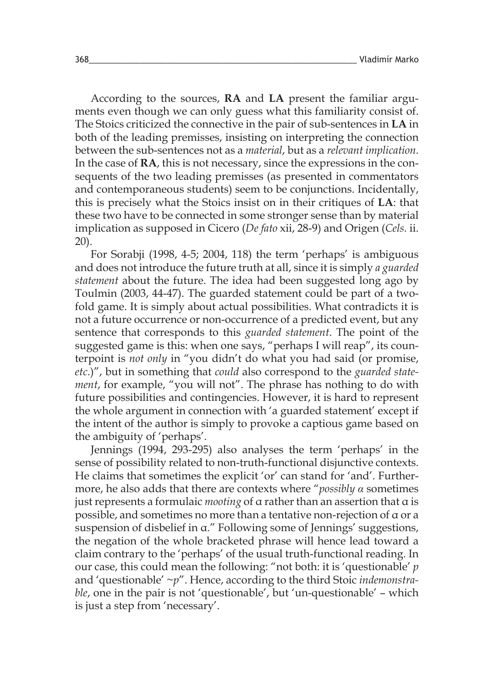According to the sources, **RA** and **LA** present the familiar arguments even though we can only guess what this familiarity consist of. The Stoics criticized the connective in the pair of sub-sentences in **LA** in both of the leading premisses, insisting on interpreting the connection between the sub-sentences not as a *material*, but as a *relevant implication*. In the case of **RA**, this is not necessary, since the expressions in the consequents of the two leading premisses (as presented in commentators and contemporaneous students) seem to be conjunctions. Incidentally, this is precisely what the Stoics insist on in their critiques of **LA**: that these two have to be connected in some stronger sense than by material implication as supposed in Cicero (*De fato* xii, 28-9) and Origen (*Cels.* ii. 20).

For Sorabji (1998, 4-5; 2004, 118) the term 'perhaps' is ambiguous and does not introduce the future truth at all, since it is simply *a guarded statement* about the future. The idea had been suggested long ago by Toulmin (2003, 44-47). The guarded statement could be part of a twofold game. It is simply about actual possibilities. What contradicts it is not a future occurrence or non-occurrence of a predicted event, but any sentence that corresponds to this *guarded statement*. The point of the suggested game is this: when one says, "perhaps I will reap", its counterpoint is *not only* in "you didn't do what you had said (or promise, *etc*.)", but in something that *could* also correspond to the *guarded statement*, for example, "you will not". The phrase has nothing to do with future possibilities and contingencies. However, it is hard to represent the whole argument in connection with 'a guarded statement' except if the intent of the author is simply to provoke a captious game based on the ambiguity of 'perhaps'.

Jennings (1994, 293-295) also analyses the term 'perhaps' in the sense of possibility related to non-truth-functional disjunctive contexts. He claims that sometimes the explicit 'or' can stand for 'and'. Furthermore, he also adds that there are contexts where "*possibly α* sometimes just represents a formulaic *mooting* of α rather than an assertion that α is possible, and sometimes no more than a tentative non-rejection of α or a suspension of disbelief in α." Following some of Jennings' suggestions, the negation of the whole bracketed phrase will hence lead toward a claim contrary to the 'perhaps' of the usual truth-functional reading. In our case, this could mean the following: "not both: it is 'questionable' *p*  and 'questionable' *~p*". Hence, according to the third Stoic *indemonstrable*, one in the pair is not 'questionable', but 'un-questionable' – which is just a step from 'necessary'.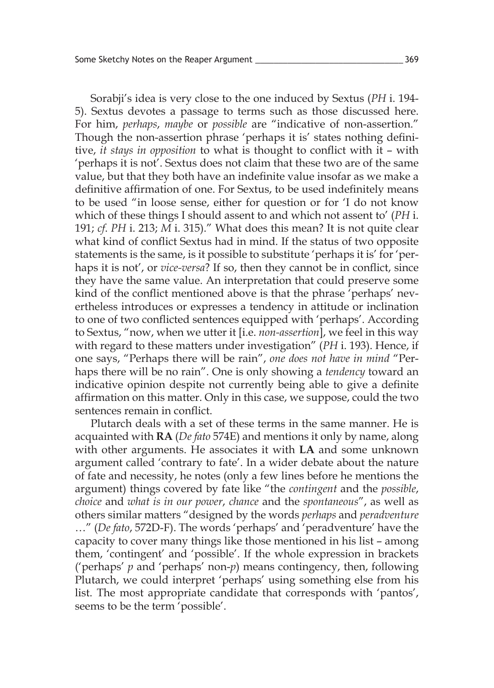Sorabji's idea is very close to the one induced by Sextus (*PH* i. 194- 5). Sextus devotes a passage to terms such as those discussed here. For him, *perhaps*, *maybe* or *possible* are "indicative of non-assertion." Though the non-assertion phrase 'perhaps it is' states nothing definitive, *it stays in opposition* to what is thought to conflict with it – with 'perhaps it is not'. Sextus does not claim that these two are of the same value, but that they both have an indefinite value insofar as we make a definitive affirmation of one. For Sextus, to be used indefinitely means to be used "in loose sense, either for question or for 'I do not know which of these things I should assent to and which not assent to' (*PH* i. 191; *cf*. *PH* i. 213; *M* i. 315)." What does this mean? It is not quite clear what kind of conflict Sextus had in mind. If the status of two opposite statements is the same, is it possible to substitute 'perhaps it is' for 'perhaps it is not', or *vice-versa*? If so, then they cannot be in conflict, since they have the same value. An interpretation that could preserve some kind of the conflict mentioned above is that the phrase 'perhaps' nevertheless introduces or expresses a tendency in attitude or inclination to one of two conflicted sentences equipped with 'perhaps'. According to Sextus, "now, when we utter it [i.e. *non-assertion*], we feel in this way with regard to these matters under investigation" (*PH* i. 193). Hence, if one says, "Perhaps there will be rain", *one does not have in mind* "Perhaps there will be no rain". One is only showing a *tendency* toward an indicative opinion despite not currently being able to give a definite affirmation on this matter. Only in this case, we suppose, could the two sentences remain in conflict.

Plutarch deals with a set of these terms in the same manner. He is acquainted with **RA** (*De fato* 574E) and mentions it only by name, along with other arguments. He associates it with **LA** and some unknown argument called 'contrary to fate'. In a wider debate about the nature of fate and necessity, he notes (only a few lines before he mentions the argument) things covered by fate like "the *contingent* and the *possible*, *choice* and *what is in our power*, *chance* and the *spontaneous*", as well as others similar matters "designed by the words *perhaps* and *peradventure*  …" (*De fato*, 572D-F). The words 'perhaps' and 'peradventure' have the capacity to cover many things like those mentioned in his list – among them, 'contingent' and 'possible'. If the whole expression in brackets ('perhaps' *p* and 'perhaps' non-*p*) means contingency, then, following Plutarch, we could interpret 'perhaps' using something else from his list. The most appropriate candidate that corresponds with 'pantos', seems to be the term 'possible'.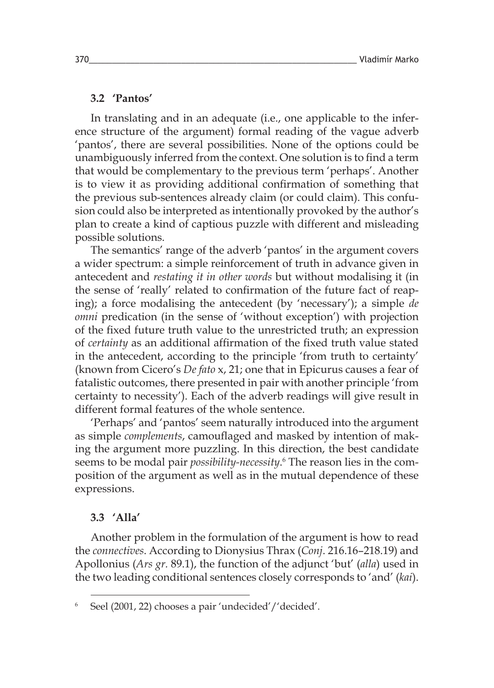#### **3.2 'Pantos'**

In translating and in an adequate (i.e., one applicable to the inference structure of the argument) formal reading of the vague adverb 'pantos', there are several possibilities. None of the options could be unambiguously inferred from the context. One solution is to find a term that would be complementary to the previous term 'perhaps'. Another is to view it as providing additional confirmation of something that the previous sub-sentences already claim (or could claim). This confusion could also be interpreted as intentionally provoked by the author's plan to create a kind of captious puzzle with different and misleading possible solutions.

The semantics' range of the adverb 'pantos' in the argument covers a wider spectrum: a simple reinforcement of truth in advance given in antecedent and *restating it in other words* but without modalising it (in the sense of 'really' related to confirmation of the future fact of reaping); a force modalising the antecedent (by 'necessary'); a simple *de omni* predication (in the sense of 'without exception') with projection of the fixed future truth value to the unrestricted truth; an expression of *certainty* as an additional affirmation of the fixed truth value stated in the antecedent, according to the principle 'from truth to certainty' (known from Cicero's *De fato* x, 21; one that in Epicurus causes a fear of fatalistic outcomes, there presented in pair with another principle 'from certainty to necessity'). Each of the adverb readings will give result in different formal features of the whole sentence.

'Perhaps' and 'pantos' seem naturally introduced into the argument as simple *complements*, camouflaged and masked by intention of making the argument more puzzling. In this direction, the best candidate seems to be modal pair *possibility-necessity*. 6 The reason lies in the composition of the argument as well as in the mutual dependence of these expressions.

#### **3.3 'Alla'**

Another problem in the formulation of the argument is how to read the *connectives*. According to Dionysius Thrax (*Conj*. 216.16–218.19) and Apollonius (*Ars gr.* 89.1), the function of the adjunct 'but' (*alla*) used in the two leading conditional sentences closely corresponds to 'and' (*kai*).

<sup>6</sup> Seel (2001, 22) chooses a pair 'undecided'/'decided'.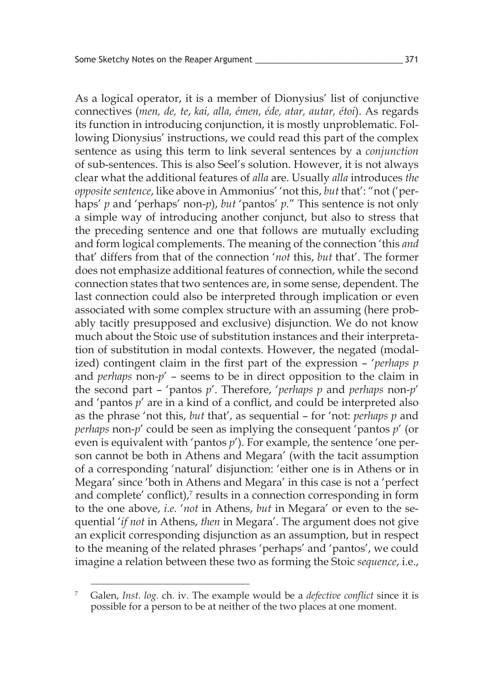As a logical operator, it is a member of Dionysius' list of conjunctive connectives (*men, de, te*, *kai, alla, émen, éde, atar, autar, étoi*). As regards its function in introducing conjunction, it is mostly unproblematic. Following Dionysius' instructions, we could read this part of the complex sentence as using this term to link several sentences by a *conjunction* of sub-sentences. This is also Seel's solution. However, it is not always clear what the additional features of *alla* are. Usually *alla* introduces *the opposite sentence*, like above in Ammonius' 'not this, *but* that': "not ('perhaps' *p* and 'perhaps' non-*p*), *but* 'pantos' *p*." This sentence is not only a simple way of introducing another conjunct, but also to stress that the preceding sentence and one that follows are mutually excluding and form logical complements. The meaning of the connection 'this *and*  that' differs from that of the connection '*not* this, *but* that'. The former does not emphasize additional features of connection, while the second connection states that two sentences are, in some sense, dependent. The last connection could also be interpreted through implication or even associated with some complex structure with an assuming (here probably tacitly presupposed and exclusive) disjunction. We do not know much about the Stoic use of substitution instances and their interpretation of substitution in modal contexts. However, the negated (modalized) contingent claim in the first part of the expression – '*perhaps p* and *perhaps* non-*p*' – seems to be in direct opposition to the claim in the second part – 'pantos *p*'. Therefore, '*perhaps p* and *perhaps* non-*p*' and 'pantos *p*' are in a kind of a conflict, and could be interpreted also as the phrase 'not this, *but* that', as sequential – for 'not: *perhaps p* and *perhaps* non-*p*' could be seen as implying the consequent 'pantos *p*' (or even is equivalent with 'pantos *p*'). For example, the sentence 'one person cannot be both in Athens and Megara' (with the tacit assumption of a corresponding 'natural' disjunction: 'either one is in Athens or in Megara' since 'both in Athens and Megara' in this case is not a 'perfect and complete' conflict), $\frac{7}{7}$  results in a connection corresponding in form to the one above, *i.e.* '*not* in Athens, *but* in Megara' or even to the sequential '*if not* in Athens, *then* in Megara'. The argument does not give an explicit corresponding disjunction as an assumption, but in respect to the meaning of the related phrases 'perhaps' and 'pantos', we could imagine a relation between these two as forming the Stoic *sequence*, i.e.,

<sup>7</sup> Galen, *Inst. log.* ch. iv. The example would be a *defective conflict* since it is possible for a person to be at neither of the two places at one moment.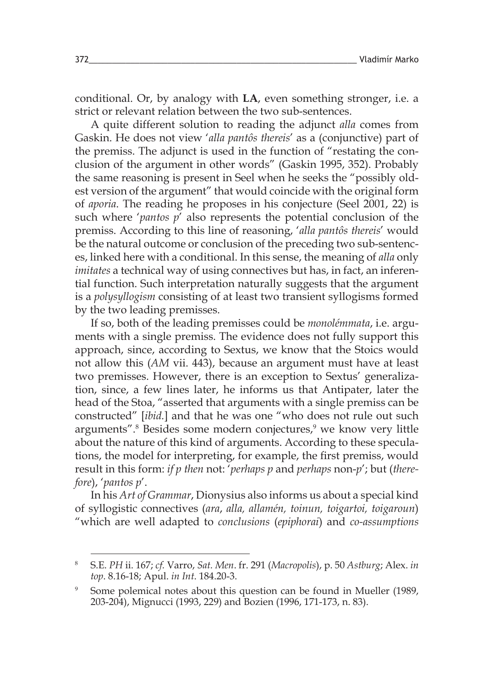conditional. Or, by analogy with **LA**, even something stronger, i.e. a strict or relevant relation between the two sub-sentences.

A quite different solution to reading the adjunct *alla* comes from Gaskin. He does not view '*alla pantôs thereis*' as a (conjunctive) part of the premiss. The adjunct is used in the function of "restating the conclusion of the argument in other words" (Gaskin 1995, 352). Probably the same reasoning is present in Seel when he seeks the "possibly oldest version of the argument" that would coincide with the original form of *aporia*. The reading he proposes in his conjecture (Seel 2001, 22) is such where '*pantos p*' also represents the potential conclusion of the premiss. According to this line of reasoning, '*alla pantôs thereis*' would be the natural outcome or conclusion of the preceding two sub-sentences, linked here with a conditional. In this sense, the meaning of *alla* only *imitates* a technical way of using connectives but has, in fact, an inferential function. Such interpretation naturally suggests that the argument is a *polysyllogism* consisting of at least two transient syllogisms formed by the two leading premisses.

If so, both of the leading premisses could be *monolémmata*, i.e. arguments with a single premiss. The evidence does not fully support this approach, since, according to Sextus, we know that the Stoics would not allow this (*AM* vii. 443), because an argument must have at least two premisses. However, there is an exception to Sextus' generalization, since, a few lines later, he informs us that Antipater, later the head of the Stoa, "asserted that arguments with a single premiss can be constructed" [*ibid.*] and that he was one "who does not rule out such arguments".<sup>8</sup> Besides some modern conjectures,<sup>9</sup> we know very little about the nature of this kind of arguments. According to these speculations, the model for interpreting, for example, the first premiss, would result in this form: *if p then* not: '*perhaps p* and *perhaps* non-*p*'; but (*therefore*), '*pantos p*'.

In his *Art of Grammar*, Dionysius also informs us about a special kind of syllogistic connectives (*ara*, *alla, allamén, toinun, toigartoi, toigaroun*) "which are well adapted to *conclusions* (*epiphorai*) and *co-assumptions*

<sup>8</sup> S.E. *PH* ii. 167; *cf.* Varro, *Sat. Men*. fr. 291 (*Macropolis*), p. 50 *Astburg*; Alex. *in top*. 8.16-18; Apul. *in Int*. 184.20-3.

<sup>&</sup>lt;sup>9</sup> Some polemical notes about this question can be found in Mueller (1989, 203-204), Mignucci (1993, 229) and Bozien (1996, 171-173, n. 83).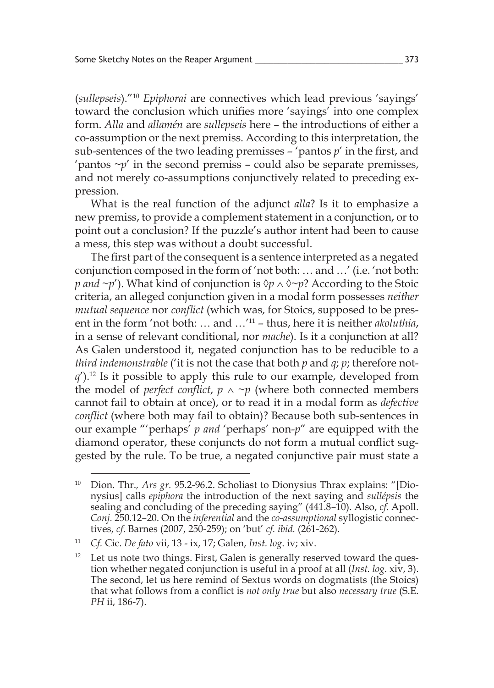(*sullepseis*)."10 *Epiphorai* are connectives which lead previous 'sayings' toward the conclusion which unifies more 'sayings' into one complex form. *Alla* and *allamén* are *sullepseis* here – the introductions of either a co-assumption or the next premiss. According to this interpretation, the sub-sentences of the two leading premisses – 'pantos *p*' in the first, and 'pantos  $\neg p'$  in the second premiss – could also be separate premisses, and not merely co-assumptions conjunctively related to preceding expression.

What is the real function of the adjunct *alla*? Is it to emphasize a new premiss, to provide a complement statement in a conjunction, or to point out a conclusion? If the puzzle's author intent had been to cause a mess, this step was without a doubt successful.

The first part of the consequent is a sentence interpreted as a negated conjunction composed in the form of 'not both: … and …' (i.e. 'not both: *p* and ~*p*'). What kind of conjunction is  $\Diamond p \land \Diamond \neg p$ ? According to the Stoic criteria, an alleged conjunction given in a modal form possesses *neither mutual sequence* nor *conflict* (which was, for Stoics, supposed to be present in the form 'not both: … and …'11 – thus, here it is neither *akoluthia*, in a sense of relevant conditional, nor *mache*). Is it a conjunction at all? As Galen understood it, negated conjunction has to be reducible to a *third indemonstrable* ('it is not the case that both *p* and *q*; *p*; therefore not $q'$ ).<sup>12</sup> Is it possible to apply this rule to our example, developed from the model of *perfect* conflict,  $p \wedge \neg p$  (where both connected members cannot fail to obtain at once), or to read it in a modal form as *defective conflict* (where both may fail to obtain)? Because both sub-sentences in our example "'perhaps' *p and* 'perhaps' non-*p*" are equipped with the diamond operator, these conjuncts do not form a mutual conflict suggested by the rule. To be true, a negated conjunctive pair must state a

<sup>&</sup>lt;sup>10</sup> Dion. Thr., Ars gr. 95.2-96.2. Scholiast to Dionysius Thrax explains: "[Dionysius] calls *epiphora* the introduction of the next saying and *sullépsis* the sealing and concluding of the preceding saying" (441.8–10). Also, *cf.* Apoll. *Conj.* 250.12–20. On the *inferential* and the *co-assumptional* syllogistic connectives, *cf*. Barnes (2007, 250-259); on 'but' *cf. ibid.* (261-262).

<sup>11</sup> *Cf.* Cic. *De fato* vii, 13 - ix, 17; Galen, *Inst. log*. iv; xiv.

 $12$  Let us note two things. First, Galen is generally reserved toward the question whether negated conjunction is useful in a proof at all (*Inst. log*. xiv, 3). The second, let us here remind of Sextus words on dogmatists (the Stoics) that what follows from a conflict is *not only true* but also *necessary true* (S.E. *PH* ii, 186-7).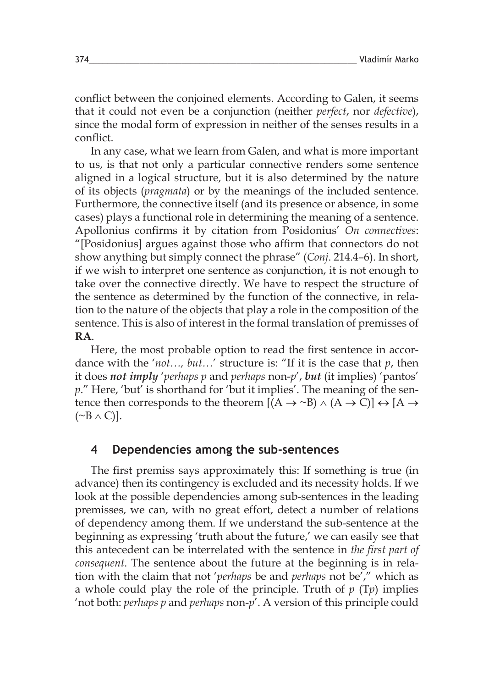conflict between the conjoined elements. According to Galen, it seems that it could not even be a conjunction (neither *perfect*, nor *defective*), since the modal form of expression in neither of the senses results in a conflict.

In any case, what we learn from Galen, and what is more important to us, is that not only a particular connective renders some sentence aligned in a logical structure, but it is also determined by the nature of its objects (*pragmata*) or by the meanings of the included sentence. Furthermore, the connective itself (and its presence or absence, in some cases) plays a functional role in determining the meaning of a sentence. Apollonius confirms it by citation from Posidonius' *On connectives*: "[Posidonius] argues against those who affirm that connectors do not show anything but simply connect the phrase" (*Conj*. 214.4–6). In short, if we wish to interpret one sentence as conjunction, it is not enough to take over the connective directly. We have to respect the structure of the sentence as determined by the function of the connective, in relation to the nature of the objects that play a role in the composition of the sentence. This is also of interest in the formal translation of premisses of **RA**.

Here, the most probable option to read the first sentence in accordance with the '*not…, but…*' structure is: "If it is the case that *p*, then it does *not imply* '*perhaps p* and *perhaps* non-*p*', *but* (it implies) 'pantos' *p*." Here, 'but' is shorthand for 'but it implies'. The meaning of the sentence then corresponds to the theorem  $[(A \rightarrow B) \land (A \rightarrow C)] \leftrightarrow [A \rightarrow$  $(\sim B \wedge C)$ ].

#### **4 Dependencies among the sub-sentences**

The first premiss says approximately this: If something is true (in advance) then its contingency is excluded and its necessity holds. If we look at the possible dependencies among sub-sentences in the leading premisses, we can, with no great effort, detect a number of relations of dependency among them. If we understand the sub-sentence at the beginning as expressing 'truth about the future,' we can easily see that this antecedent can be interrelated with the sentence in *the first part of consequent*. The sentence about the future at the beginning is in relation with the claim that not '*perhaps* be and *perhaps* not be'," which as a whole could play the role of the principle. Truth of *p* (T*p*) implies 'not both: *perhaps p* and *perhaps* non-*p*'. A version of this principle could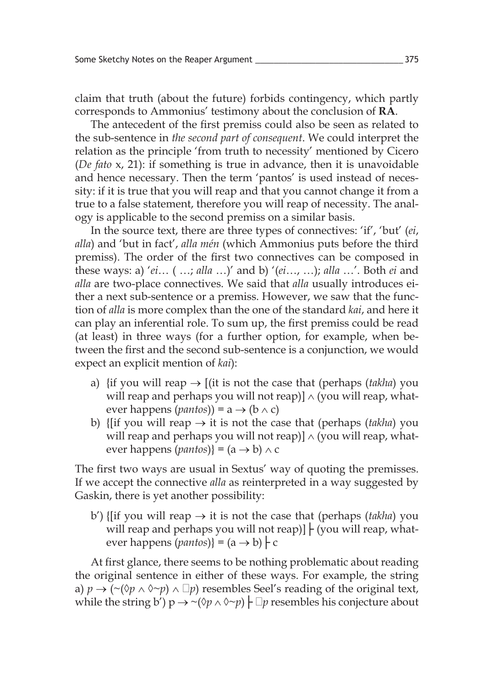claim that truth (about the future) forbids contingency, which partly corresponds to Ammonius' testimony about the conclusion of **RA**.

The antecedent of the first premiss could also be seen as related to the sub-sentence in *the second part of consequent*. We could interpret the relation as the principle 'from truth to necessity' mentioned by Cicero (*De fato* x, 21): if something is true in advance, then it is unavoidable and hence necessary. Then the term 'pantos' is used instead of necessity: if it is true that you will reap and that you cannot change it from a true to a false statement, therefore you will reap of necessity. The analogy is applicable to the second premiss on a similar basis.

In the source text, there are three types of connectives: 'if', 'but' (*ei*, *alla*) and 'but in fact', *alla mén* (which Ammonius puts before the third premiss). The order of the first two connectives can be composed in these ways: a) '*ei*… ( …; *alla* …)' and b) '(*ei*…, …); *alla* …'. Both *ei* and *alla* are two-place connectives. We said that *alla* usually introduces either a next sub-sentence or a premiss. However, we saw that the function of *alla* is more complex than the one of the standard *kai*, and here it can play an inferential role. To sum up, the first premiss could be read (at least) in three ways (for a further option, for example, when between the first and the second sub-sentence is a conjunction, we would expect an explicit mention of *kai*):

- a) {if you will reap  $\rightarrow$  [(it is not the case that (perhaps (*takha*) you will reap and perhaps you will not reap)]  $\land$  (you will reap, whatever happens (*pantos*)) =  $a \rightarrow (b \land c)$
- b) { $[$ if you will reap  $\rightarrow$  it is not the case that (perhaps (*takha*) you will reap and perhaps you will not reap)]  $\land$  (you will reap, whatever happens (*pantos*)} =  $(a \rightarrow b) \land c$

The first two ways are usual in Sextus' way of quoting the premisses. If we accept the connective *alla* as reinterpreted in a way suggested by Gaskin, there is yet another possibility:

b') {[if you will reap  $\rightarrow$  it is not the case that (perhaps *(takha)* you will reap and perhaps you will not reap)]  $\vdash$  (you will reap, whatever happens (*pantos*)} =  $(a \rightarrow b)$   $\vdash$  c

At first glance, there seems to be nothing problematic about reading the original sentence in either of these ways. For example, the string a)  $p \rightarrow (\sim(\delta p \land \delta \sim p) \land \Box p)$  resembles Seel's reading of the original text, while the string b')  $p \rightarrow \sim (\Diamond p \land \Diamond \sim p)$   $\vdash \Box p$  resembles his conjecture about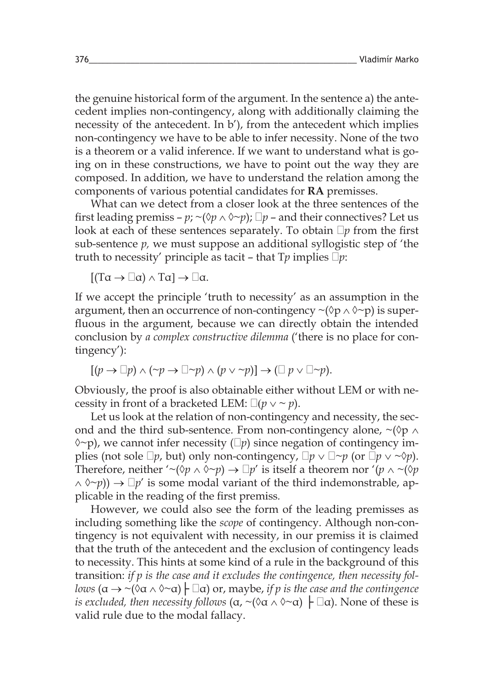the genuine historical form of the argument. In the sentence a) the antecedent implies non-contingency, along with additionally claiming the necessity of the antecedent. In b'), from the antecedent which implies non-contingency we have to be able to infer necessity. None of the two is a theorem or a valid inference. If we want to understand what is going on in these constructions, we have to point out the way they are composed. In addition, we have to understand the relation among the components of various potential candidates for **RA** premisses.

What can we detect from a closer look at the three sentences of the first leading premiss – *p*;  $\sim$ ( $\Diamond p \land \Diamond \sim p$ );  $\Box p$  – and their connectives? Let us look at each of these sentences separately. To obtain  $\neg p$  from the first sub-sentence *p,* we must suppose an additional syllogistic step of 'the truth to necessity' principle as tacit – that  $T_p$  implies  $\overline{\Box} p$ :

 $[(T\alpha \rightarrow \Box \alpha) \land T\alpha] \rightarrow \Box \alpha.$ 

If we accept the principle 'truth to necessity' as an assumption in the argument, then an occurrence of non-contingency  $\sim$ ( $\lozenge$ p $\wedge$  $\lozenge$  $\sim$ p) is superfluous in the argument, because we can directly obtain the intended conclusion by *a complex constructive dilemma* ('there is no place for contingency'):

$$
[(p \to \Box p) \land (\neg p \to \Box \neg p) \land (p \lor \neg p)] \to (\Box p \lor \Box \neg p).
$$

Obviously, the proof is also obtainable either without LEM or with necessity in front of a bracketed LEM:  $\Box(p \lor \sim p)$ .

Let us look at the relation of non-contingency and necessity, the second and the third sub-sentence. From non-contingency alone,  $\sim$ ( $\lozenge$ p  $\wedge$  $\Diamond \neg p$ ), we cannot infer necessity ( $\Box p$ ) since negation of contingency implies (not sole  $\Box p$ , but) only non-contingency,  $\Box p \vee \Box \sim p$  (or  $\Box p \vee \sim \Diamond p$ ). Therefore, neither '~ $(\Diamond p \land \Diamond \neg p) \rightarrow \Box p'$  is itself a theorem nor ' $(p \land \neg (\Diamond p$  $(\wedge \wedge \neg p)$ )  $\rightarrow \Box p'$  is some modal variant of the third indemonstrable, applicable in the reading of the first premiss*.*

However, we could also see the form of the leading premisses as including something like the *scope* of contingency. Although non-contingency is not equivalent with necessity, in our premiss it is claimed that the truth of the antecedent and the exclusion of contingency leads to necessity. This hints at some kind of a rule in the background of this transition: *if p is the case and it excludes the contingence, then necessity follows*  $(\alpha \rightarrow \alpha)$   $(\alpha \land \alpha \rightarrow \alpha)$   $\vdash \Box \alpha)$  or, maybe, *if p is the case and the contingence is excluded, then necessity follows*  $(\alpha, \sim(\alpha \land \alpha \land \sim \alpha) \mid \Box \alpha)$ . None of these is valid rule due to the modal fallacy.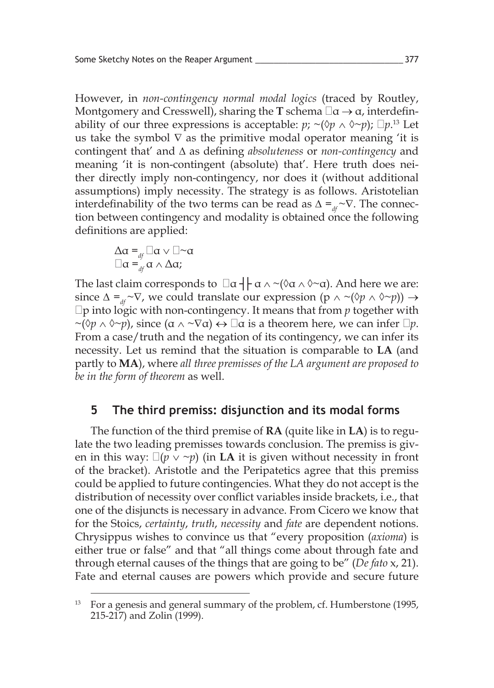However, in *non-contingency normal modal logics* (traced by Routley, Montgomery and Cresswell), sharing the **T** schema  $\Box$ α  $\rightarrow$  α, interdefinability of our three expressions is acceptable:  $p$ ;  $\sim$ ( $\Diamond p \land \Diamond \sim p$ );  $\Box p$ <sup>13</sup> Let us take the symbol  $\nabla$  as the primitive modal operator meaning 'it is contingent that' and ∆ as defining *absoluteness* or *non-contingency* and meaning 'it is non-contingent (absolute) that'. Here truth does neither directly imply non-contingency, nor does it (without additional assumptions) imply necessity. The strategy is as follows. Aristotelian interdefinability of the two terms can be read as  $\Delta =_{df} \sim \nabla$ . The connection between contingency and modality is obtained once the following definitions are applied:

$$
\Delta \alpha =_{df} \Box \alpha \vee \Box \sim \alpha
$$
  

$$
\Box \alpha =_{df} \alpha \wedge \Delta \alpha;
$$

The last claim corresponds to  $\Box \alpha + \alpha \wedge (\alpha \wedge \alpha \wedge \alpha)$ . And here we are: since  $\Delta =_{\mu} \neg \nabla$ , we could translate our expression (p  $\wedge \neg (\Diamond p \wedge \Diamond \neg p)) \rightarrow$  $\Box$ p into logic with non-contingency. It means that from *p* together with  $\sim$ ( $\Diamond p \land \Diamond \sim p$ ), since  $(\alpha \land \neg \nabla \alpha) \leftrightarrow \Box \alpha$  is a theorem here, we can infer  $\Box p$ . From a case/truth and the negation of its contingency, we can infer its necessity. Let us remind that the situation is comparable to **LA** (and partly to **MA**), where *all three premisses of the LA argument are proposed to be in the form of theorem* as well.

#### **5 The third premiss: disjunction and its modal forms**

The function of the third premise of **RA** (quite like in **LA**) is to regulate the two leading premisses towards conclusion. The premiss is given in this way:  $\Box(p \lor \neg p)$  (in **LA** it is given without necessity in front of the bracket). Aristotle and the Peripatetics agree that this premiss could be applied to future contingencies. What they do not accept is the distribution of necessity over conflict variables inside brackets, i.e., that one of the disjuncts is necessary in advance. From Cicero we know that for the Stoics, *certainty*, *truth*, *necessity* and *fate* are dependent notions. Chrysippus wishes to convince us that "every proposition (*axioma*) is either true or false" and that "all things come about through fate and through eternal causes of the things that are going to be" (*De fato* x, 21). Fate and eternal causes are powers which provide and secure future

<sup>13</sup> For a genesis and general summary of the problem, cf. Humberstone (1995, 215-217) and Zolin (1999).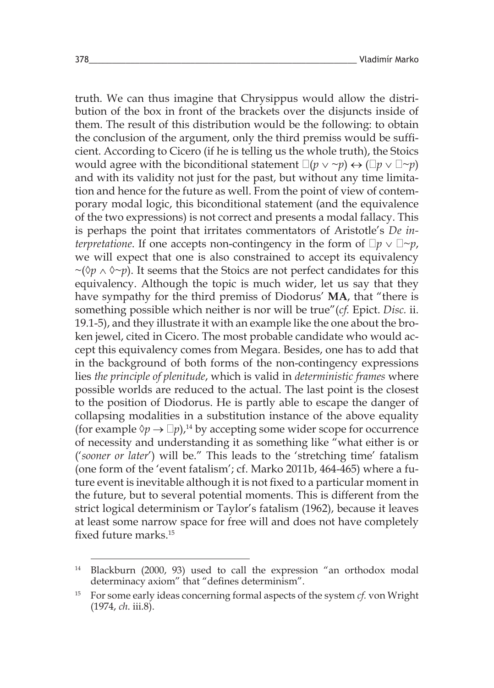truth. We can thus imagine that Chrysippus would allow the distribution of the box in front of the brackets over the disjuncts inside of them. The result of this distribution would be the following: to obtain the conclusion of the argument, only the third premiss would be sufficient. According to Cicero (if he is telling us the whole truth), the Stoics would agree with the biconditional statement  $\Box(p \lor \neg p) \leftrightarrow (\Box p \lor \Box \neg p)$ and with its validity not just for the past, but without any time limitation and hence for the future as well. From the point of view of contemporary modal logic, this biconditional statement (and the equivalence of the two expressions) is not correct and presents a modal fallacy. This is perhaps the point that irritates commentators of Aristotle's *De interpretatione*. If one accepts non-contingency in the form of  $\Box p \vee \Box \sim p$ , we will expect that one is also constrained to accept its equivalency ~(◊*p* ∧ ◊~*p*). It seems that the Stoics are not perfect candidates for this equivalency. Although the topic is much wider, let us say that they have sympathy for the third premiss of Diodorus' **MA**, that "there is something possible which neither is nor will be true"(*cf.* Epict. *Disc.* ii. 19.1-5), and they illustrate it with an example like the one about the broken jewel, cited in Cicero. The most probable candidate who would accept this equivalency comes from Megara. Besides, one has to add that in the background of both forms of the non-contingency expressions lies *the principle of plenitude*, which is valid in *deterministic frames* where possible worlds are reduced to the actual. The last point is the closest to the position of Diodorus. He is partly able to escape the danger of collapsing modalities in a substitution instance of the above equality (for example  $\Diamond p \rightarrow \Box p$ ),<sup>14</sup> by accepting some wider scope for occurrence of necessity and understanding it as something like "what either is or ('*sooner or later*') will be." This leads to the 'stretching time' fatalism (one form of the 'event fatalism'; cf. Marko 2011b, 464-465) where a future event is inevitable although it is not fixed to a particular moment in the future, but to several potential moments. This is different from the strict logical determinism or Taylor's fatalism (1962), because it leaves at least some narrow space for free will and does not have completely fixed future marks.<sup>15</sup>

<sup>14</sup> Blackburn (2000, 93) used to call the expression "an orthodox modal determinacy axiom" that "defines determinism".

<sup>15</sup> For some early ideas concerning formal aspects of the system *cf.* von Wright (1974, *ch*. iii.8).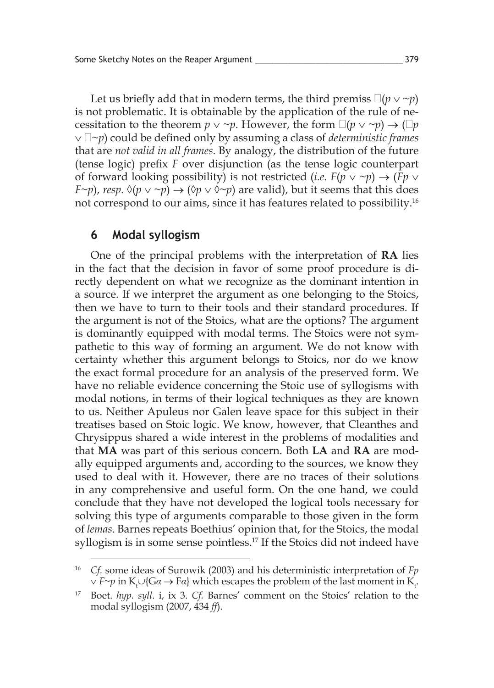Let us briefly add that in modern terms, the third premiss  $\Box(p \lor \neg p)$ is not problematic. It is obtainable by the application of the rule of necessitation to the theorem  $p \vee \neg p$ . However, the form  $\Box(p \vee \neg p) \rightarrow (\Box p)$ ∨ ~*p*) could be defined only by assuming a class of *deterministic frames* that are *not valid in all frames*. By analogy, the distribution of the future (tense logic) prefix *F* over disjunction (as the tense logic counterpart of forward looking possibility) is not restricted (*i.e.*  $F(p \vee \neg p) \rightarrow (Fp \vee \neg p)$ *F*~*p*), *resp.*  $\Diamond(p \lor \neg p) \rightarrow (\Diamond p \lor \Diamond \neg p)$  are valid), but it seems that this does not correspond to our aims, since it has features related to possibility.16

### **6 Modal syllogism**

One of the principal problems with the interpretation of **RA** lies in the fact that the decision in favor of some proof procedure is directly dependent on what we recognize as the dominant intention in a source. If we interpret the argument as one belonging to the Stoics, then we have to turn to their tools and their standard procedures. If the argument is not of the Stoics, what are the options? The argument is dominantly equipped with modal terms. The Stoics were not sympathetic to this way of forming an argument. We do not know with certainty whether this argument belongs to Stoics, nor do we know the exact formal procedure for an analysis of the preserved form. We have no reliable evidence concerning the Stoic use of syllogisms with modal notions, in terms of their logical techniques as they are known to us. Neither Apuleus nor Galen leave space for this subject in their treatises based on Stoic logic. We know, however, that Cleanthes and Chrysippus shared a wide interest in the problems of modalities and that **MA** was part of this serious concern. Both **LA** and **RA** are modally equipped arguments and, according to the sources, we know they used to deal with it. However, there are no traces of their solutions in any comprehensive and useful form. On the one hand, we could conclude that they have not developed the logical tools necessary for solving this type of arguments comparable to those given in the form of *lemas*. Barnes repeats Boethius' opinion that, for the Stoics, the modal syllogism is in some sense pointless.<sup>17</sup> If the Stoics did not indeed have

<sup>16</sup> *Cf.* some ideas of Surowik (2003) and his deterministic interpretation of *Fp*   $\lor$  *F∼p* in K<sub>t</sub>∪{Gα → Fα} which escapes the problem of the last moment in K<sub>t</sub>.

<sup>17</sup> Boet. *hyp. syll*. i, ix 3. *Cf.* Barnes' comment on the Stoics' relation to the modal syllogism (2007, 434 *ff*).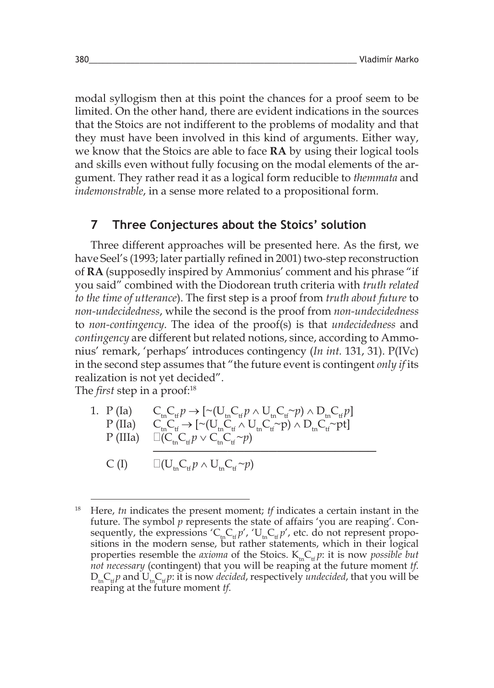modal syllogism then at this point the chances for a proof seem to be limited. On the other hand, there are evident indications in the sources that the Stoics are not indifferent to the problems of modality and that they must have been involved in this kind of arguments. Either way, we know that the Stoics are able to face **RA** by using their logical tools and skills even without fully focusing on the modal elements of the argument. They rather read it as a logical form reducible to *themmata* and *indemonstrable*, in a sense more related to a propositional form.

## **7 Three Conjectures about the Stoics' solution**

Three different approaches will be presented here. As the first, we have Seel's (1993; later partially refined in 2001) two-step reconstruction of **RA** (supposedly inspired by Ammonius' comment and his phrase "if you said" combined with the Diodorean truth criteria with *truth related to the time of utterance*). The first step is a proof from *truth about future* to *non-undecidedness*, while the second is the proof from *non-undecidedness*  to *non-contingency*. The idea of the proof(s) is that *undecidedness* and *contingency* are different but related notions, since, according to Ammonius' remark, 'perhaps' introduces contingency (*In int.* 131, 31). P(IVc) in the second step assumes that "the future event is contingent *only if* its realization is not yet decided".

The *first* step in a proof:18

1. P (Ia) 
$$
C_{\text{in}}C_{\text{tf}} \rightarrow [\sim(U_{\text{in}}C_{\text{tf}} \wedge U_{\text{in}}C_{\text{tf}} \sim p) \wedge D_{\text{in}}C_{\text{tf}} \rho]
$$
  
\nP (IIa) 
$$
C_{\text{in}}C_{\text{tf}} \rightarrow [\sim(U_{\text{in}}C_{\text{tf}} \wedge U_{\text{in}}C_{\text{tf}} \sim p) \wedge D_{\text{in}}C_{\text{tf}} \sim p]
$$
  
\nP (IIIa) 
$$
\Box(C_{\text{in}}C_{\text{tf}} \wedge C_{\text{in}}C_{\text{tf}} \sim p)
$$

$$
C(I) \qquad \Box(U_{\rm tn}C_{\rm tf}p \wedge U_{\rm tn}C_{\rm tf} \sim p)
$$

<sup>18</sup> Here, *tn* indicates the present moment; *tf* indicates a certain instant in the future. The symbol *p* represents the state of affairs 'you are reaping'. Consequently, the expressions ' $C_{\text{th}} C_{\text{th}} p'$ , ' $U_{\text{th}} C_{\text{th}} p'$ , etc. do not represent propositions in the modern sense, but rather statements, which in their logical properties resemble the *axioma* of the Stoics.  $K_{in}C_{\text{th}} p$ : it is now *possible but not necessary* (contingent) that you will be reaping at the future moment *tf*.  $D_{\text{in}}C_{\text{th}}p$  and  $U_{\text{in}}C_{\text{th}}p$ : it is now *decided*, respectively *undecided*, that you will be reaping at the future moment *tf*.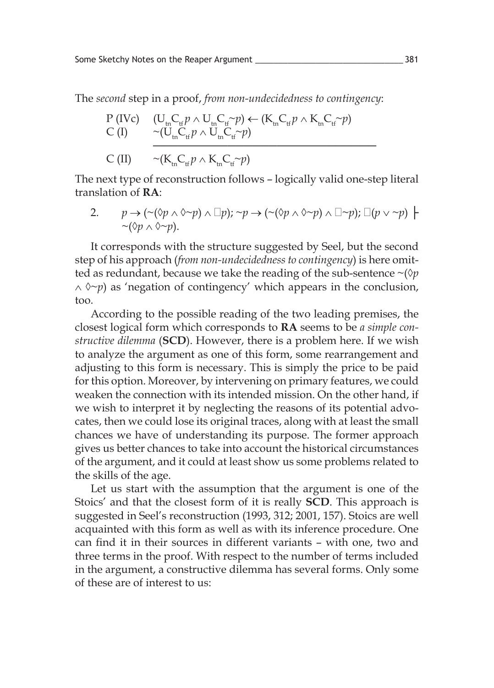The *second* step in a proof, *from non-undecidedness to contingency*:

$$
\begin{array}{ll}\nP \text{ (IVc)} & \text{ (U}_{\text{tn}}C_{\text{tr}}p \land \text{U}_{\text{tn}}C_{\text{tr}} \sim p) \leftarrow (\text{K}_{\text{tn}}C_{\text{tr}}p \land \text{K}_{\text{tn}}C_{\text{tr}} \sim p) \\
C \text{ (I)} & \sim (\text{U}_{\text{tn}}C_{\text{tr}}p \land \text{U}_{\text{tn}}C_{\text{tr}} \sim p) \\
C \text{ (II)} & \sim (\text{K}_{\text{tn}}C_{\text{tr}}p \land \text{K}_{\text{tn}}C_{\text{tr}} \sim p)\n\end{array}
$$

The next type of reconstruction follows – logically valid one-step literal translation of **RA**:

2. 
$$
p \rightarrow (\sim(\delta p \land \delta \sim p) \land \Box p); \sim p \rightarrow (\sim(\delta p \land \delta \sim p) \land \Box \sim p); \Box(p \lor \sim p) \vdash \sim(\delta p \land \delta \sim p).
$$

It corresponds with the structure suggested by Seel, but the second step of his approach (*from non-undecidedness to contingency*) is here omitted as redundant, because we take the reading of the sub-sentence ~(◊*p*  ∧ ◊~*p*) as 'negation of contingency' which appears in the conclusion, too.

According to the possible reading of the two leading premises, the closest logical form which corresponds to **RA** seems to be *a simple constructive dilemma* (**SCD**). However, there is a problem here. If we wish to analyze the argument as one of this form, some rearrangement and adjusting to this form is necessary. This is simply the price to be paid for this option. Moreover, by intervening on primary features, we could weaken the connection with its intended mission. On the other hand, if we wish to interpret it by neglecting the reasons of its potential advocates, then we could lose its original traces, along with at least the small chances we have of understanding its purpose. The former approach gives us better chances to take into account the historical circumstances of the argument, and it could at least show us some problems related to the skills of the age.

Let us start with the assumption that the argument is one of the Stoics' and that the closest form of it is really **SCD**. This approach is suggested in Seel's reconstruction (1993, 312; 2001, 157). Stoics are well acquainted with this form as well as with its inference procedure. One can find it in their sources in different variants – with one, two and three terms in the proof. With respect to the number of terms included in the argument, a constructive dilemma has several forms. Only some of these are of interest to us: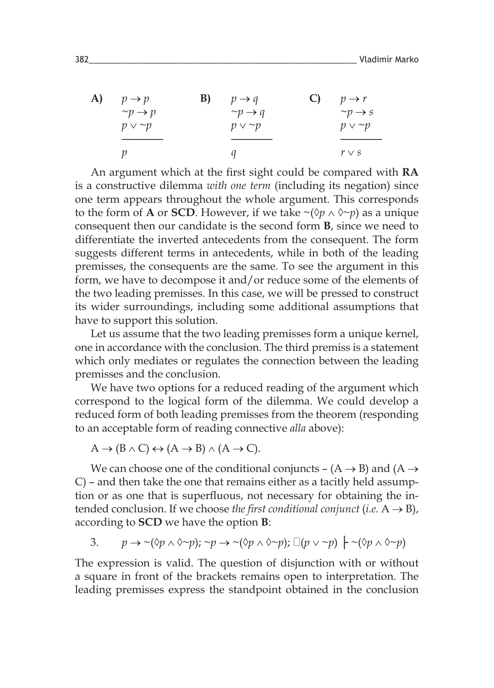| A) | B)<br>$p \rightarrow p$ | $p \rightarrow q$        | C) | $p \rightarrow r$      |
|----|-------------------------|--------------------------|----|------------------------|
|    | $\neg p \rightarrow p$  | $\gamma p \rightarrow q$ |    | $\sim p \rightarrow s$ |
|    | $p \vee \neg p$         | $p \vee \neg p$          |    | $p \vee \neg p$        |
|    |                         |                          |    |                        |
|    |                         |                          |    | $r \vee s$             |

An argument which at the first sight could be compared with **RA** is a constructive dilemma *with one term* (including its negation) since one term appears throughout the whole argument. This corresponds to the form of **A** or **SCD**. However, if we take  $\sim$ ( $\Diamond p \land \Diamond \sim p$ ) as a unique consequent then our candidate is the second form **B**, since we need to differentiate the inverted antecedents from the consequent. The form suggests different terms in antecedents, while in both of the leading premisses, the consequents are the same. To see the argument in this form, we have to decompose it and/or reduce some of the elements of the two leading premisses. In this case, we will be pressed to construct its wider surroundings, including some additional assumptions that have to support this solution.

Let us assume that the two leading premisses form a unique kernel, one in accordance with the conclusion. The third premiss is a statement which only mediates or regulates the connection between the leading premisses and the conclusion.

We have two options for a reduced reading of the argument which correspond to the logical form of the dilemma. We could develop a reduced form of both leading premisses from the theorem (responding to an acceptable form of reading connective *alla* above):

 $A \rightarrow (B \land C) \leftrightarrow (A \rightarrow B) \land (A \rightarrow C).$ 

We can choose one of the conditional conjuncts –  $(A \rightarrow B)$  and  $(A \rightarrow$ C) – and then take the one that remains either as a tacitly held assumption or as one that is superfluous, not necessary for obtaining the intended conclusion. If we choose *the first conditional conjunct* (*i.e.*  $A \rightarrow B$ ), according to **SCD** we have the option **B**:

3. 
$$
p \rightarrow \neg(\Diamond p \land \Diamond \neg p)
$$
;  $\neg p \rightarrow \neg(\Diamond p \land \Diamond \neg p)$ ;  $\Box(p \lor \neg p) \vdash \neg(\Diamond p \land \Diamond \neg p)$ 

The expression is valid. The question of disjunction with or without a square in front of the brackets remains open to interpretation. The leading premisses express the standpoint obtained in the conclusion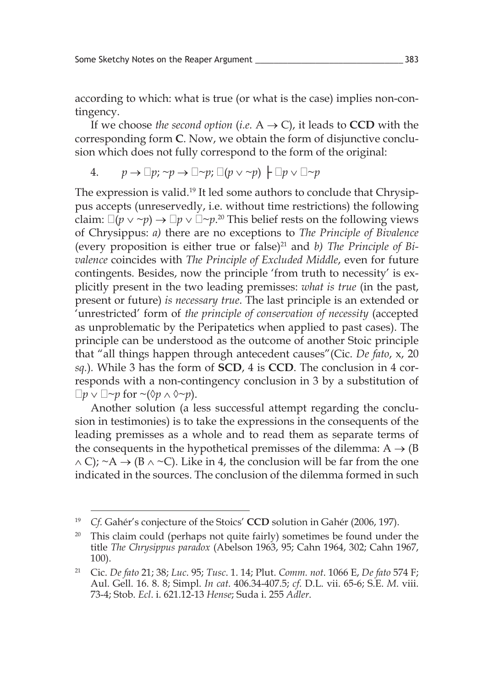according to which: what is true (or what is the case) implies non-contingency.

If we choose *the second option* (*i.e.*  $A \rightarrow C$ ), it leads to **CCD** with the corresponding form **C**. Now, we obtain the form of disjunctive conclusion which does not fully correspond to the form of the original:

4. 
$$
p \to \Box p; \neg p \to \Box \neg p; \Box (p \lor \neg p) \vdash \Box p \lor \Box \neg p
$$

The expression is valid.<sup>19</sup> It led some authors to conclude that Chrysippus accepts (unreservedly, i.e. without time restrictions) the following claim:  $\Box(p \lor \neg p) \rightarrow \Box p \lor \Box \neg p$ .<sup>20</sup> This belief rests on the following views of Chrysippus: *a)* there are no exceptions to *The Principle of Bivalence* (every proposition is either true or false)21 and *b) The Principle of Bivalence* coincides with *The Principle of Excluded Middle*, even for future contingents. Besides, now the principle 'from truth to necessity' is explicitly present in the two leading premisses: *what is true* (in the past, present or future) *is necessary true*. The last principle is an extended or 'unrestricted' form of *the principle of conservation of necessity* (accepted as unproblematic by the Peripatetics when applied to past cases). The principle can be understood as the outcome of another Stoic principle that "all things happen through antecedent causes"(Cic. *De fato*, x, 20 *sq.*)*.* While 3 has the form of **SCD**, 4 is **CCD**. The conclusion in 4 corresponds with a non-contingency conclusion in 3 by a substitution of  $\Box p \lor \Box \sim p$  for  $\sim$  ( $\Diamond p \land \Diamond \sim p$ ).

Another solution (a less successful attempt regarding the conclusion in testimonies) is to take the expressions in the consequents of the leading premisses as a whole and to read them as separate terms of the consequents in the hypothetical premisses of the dilemma:  $A \rightarrow (B)$  $\wedge$  C); ~A  $\rightarrow$  (B  $\wedge$  ~C). Like in 4, the conclusion will be far from the one indicated in the sources. The conclusion of the dilemma formed in such

<sup>19</sup> *Cf.* Gahér's conjecture of the Stoics' **CCD** solution in Gahér (2006, 197).

<sup>&</sup>lt;sup>20</sup> This claim could (perhaps not quite fairly) sometimes be found under the title *The Chrysippus paradox* (Abelson 1963, 95; Cahn 1964, 302; Cahn 1967, 100).

<sup>21</sup> Cic. *De fato* 21; 38; *Luc*. 95; *Tusc*. 1. 14; Plut. *Comm. not*. 1066 E, *De fato* 574 F; Aul. Gell. 16. 8. 8; Simpl. *In cat*. 406.34-407.5; *cf*. D.L. vii. 65-6; S.E. *M*. viii. 73-4; Stob. *Ecl*. i. 621.12-13 *Hense*; Suda i. 255 *Adler*.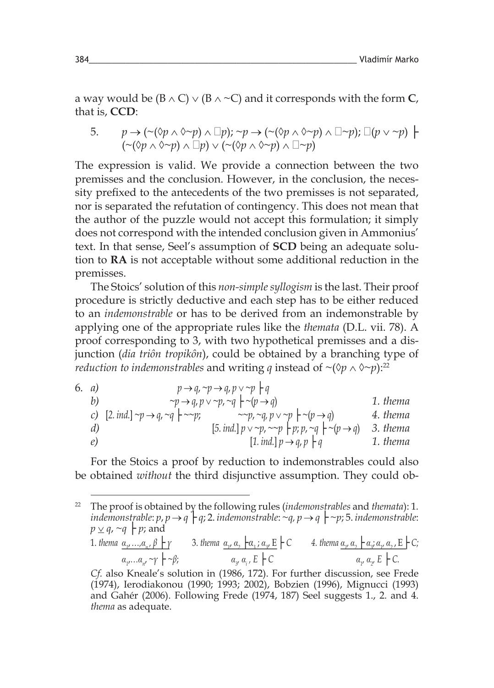a way would be  $(B \wedge C) \vee (B \wedge \neg C)$  and it corresponds with the form C, that is, **CCD**:

5. 
$$
p \rightarrow (\sim(\Diamond p \land \Diamond \sim p) \land \Box p); \sim p \rightarrow (\sim(\Diamond p \land \Diamond \sim p) \land \Box \sim p); \Box(p \lor \sim p) \models
$$
  
 $(\sim(\Diamond p \land \Diamond \sim p) \land \Box p) \lor (\sim(\Diamond p \land \Diamond \sim p) \land \Box \sim p)$ 

The expression is valid. We provide a connection between the two premisses and the conclusion. However, in the conclusion, the necessity prefixed to the antecedents of the two premisses is not separated, nor is separated the refutation of contingency. This does not mean that the author of the puzzle would not accept this formulation; it simply does not correspond with the intended conclusion given in Ammonius' text. In that sense, Seel's assumption of **SCD** being an adequate solution to **RA** is not acceptable without some additional reduction in the premisses.

The Stoics' solution of this *non-simple syllogism* is the last. Their proof procedure is strictly deductive and each step has to be either reduced to an *indemonstrable* or has to be derived from an indemonstrable by applying one of the appropriate rules like the *themata* (D.L. vii. 78). A proof corresponding to 3, with two hypothetical premisses and a disjunction (*dia triôn tropikôn*), could be obtained by a branching type of *reduction to indemonstrables* and writing *q* instead of ~ $({\Diamond} p \land {\Diamond} \sim p)$ :<sup>22</sup>

6. a)  
\n
$$
p \rightarrow q, \neg p \rightarrow q, p \lor \neg p \nmid q
$$
  
\n $\neg p \rightarrow q, p \lor \neg p, \neg q \nmid \neg (p \rightarrow q)$   
\n(c) [2. ind.]  $\neg p \rightarrow q, \neg q \nmid \neg \neg p$ ;  
\n(d) [5. ind.]  $p \lor \neg p, \neg q \nmid p \lor \neg p \nmid q$   
\n $\neg p, \neg q, p \lor \neg p \nmid q$   
\n $\neg p, \neg q, p \lor \neg p \nmid q$   
\n $\neg p, \neg q, p \lor \neg p \nmid q$   
\n1. thema  
\n2. 1. thema  
\n3. thema  
\n4. 1.

For the Stoics a proof by reduction to indemonstrables could also be obtained *without* the third disjunctive assumption. They could ob-

<sup>22</sup> The proof is obtained by the following rules (*indemonstrables* and *themata*): 1*. indemonstrable:*  $p$ ,  $p \rightarrow q$   $\vdash$  *q*; 2. *indemonstrable:*  $\neg q$ ,  $p \rightarrow q$   $\vdash$   $\neg p$ ; 5. *indemonstrable:*  $p \vee q$ , ~*q*  $\vdash p$ ; and 1. *thema α<sup>1</sup>* ,*…,α<sup>n</sup>*, 1. thema  $\underline{\alpha_{1},...,\alpha_{n}}$ ,  $\beta \vdash \gamma$  3. thema  $\underline{\alpha_{1}, \alpha_{2}} \vdash \alpha_{3}$ ;  $\underline{\alpha_{3}} \vdash \zeta$  4. thema  $\underline{\alpha_{1}, \alpha_{2}} \vdash \alpha_{3}$ ;  $\alpha_{n}, \alpha_{2} \vdash \zeta$ ;  $\alpha_{1} \dots \alpha_{n'} \sim \gamma \vdash \sim \beta;$   $\alpha_{3}$ *,*  $\alpha_i$ *, E* ├ *C*  $\alpha_1$ *, α2 , E* ├ *C. Cf.* also Kneale's solution in (1986, 172). For further discussion, see Frede (1974), Ierodiakonou (1990; 1993; 2002), Bobzien (1996), Mignucci (1993) and Gahér (2006). Following Frede (1974, 187) Seel suggests 1., 2. and 4. *thema* as adequate.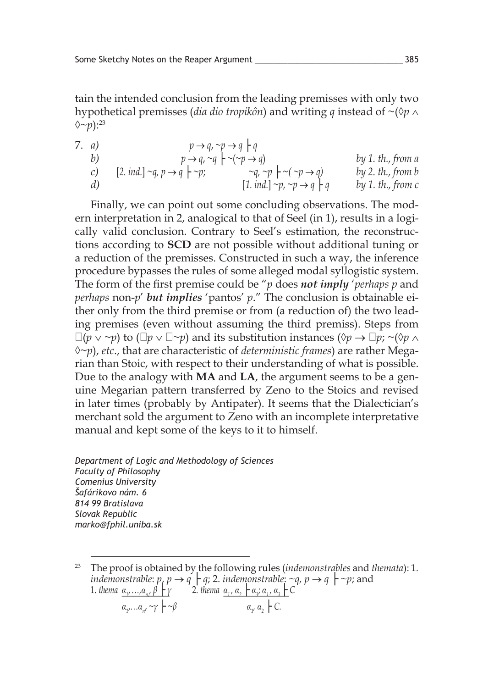tain the intended conclusion from the leading premisses with only two hypothetical premisses (*dia dio tropikôn*) and writing *q* instead of ~(◊*p* ∧  $\Diamond \sim p$ ):  $^{23}$ 

7. a)  
\n
$$
p \rightarrow q, \neg p \rightarrow q \mid q
$$
  
\n $p \rightarrow q, \neg q \mid \neg(p \rightarrow q)$   
\n(b)  
\n(c)  
\n[2. ind.]  $\neg q, p \rightarrow q \mid \neg p$ ;  
\n $p \rightarrow q, \neg q \mid \neg p$ ;  
\n $\neg q, \neg p \mid \neg(p \rightarrow q)$   
\n[1. ind.]  $\neg p, \neg p \rightarrow q \mid q$   
\nby 1. th., from a  
\nby 2. th., from b  
\nby 1. th., from b

Finally, we can point out some concluding observations. The modern interpretation in 2, analogical to that of Seel (in 1), results in a logically valid conclusion. Contrary to Seel's estimation, the reconstructions according to **SCD** are not possible without additional tuning or a reduction of the premisses. Constructed in such a way, the inference procedure bypasses the rules of some alleged modal syllogistic system. The form of the first premise could be "*p* does *not imply* '*perhaps p* and *perhaps* non-*p*' *but implies* 'pantos' *p*." The conclusion is obtainable either only from the third premise or from (a reduction of) the two leading premises (even without assuming the third premiss). Steps from  $\Box(p \vee \neg p)$  to  $(\Box p \vee \Box \neg p)$  and its substitution instances  $(\Diamond p \rightarrow \Box p; \neg (\Diamond p \wedge p))$ ◊~*p*), *etc*., that are characteristic of *deterministic frames*) are rather Megarian than Stoic, with respect to their understanding of what is possible. Due to the analogy with **MA** and **LA**, the argument seems to be a genuine Megarian pattern transferred by Zeno to the Stoics and revised in later times (probably by Antipater). It seems that the Dialectician's merchant sold the argument to Zeno with an incomplete interpretative manual and kept some of the keys to it to himself.

*Department of Logic and Methodology of Sciences Faculty of Philosophy Comenius University Šafárikovo nám. 6 814 99 Bratislava Slovak Republic marko@fphil.uniba.sk*

<sup>23</sup> The proof is obtained by the following rules (*indemonstrables* and *themata*): 1*. indemonstrable:*  $p, p \rightarrow q \vdash q$ ; 2. *indemonstrable:* ~*q*,  $p \rightarrow q \vdash \sim p$ ; and 1. *thema α<sup>1</sup>* ,*…,α<sup>n</sup>*, *n*, *thema α<sub>1</sub>, ...,α<sub>n</sub>, β* **i** *γ* 2. *thema α<sub>1</sub>, α<sub>2</sub> i <i>α<sub>3</sub>*; *α<sub>3</sub>* **j** *C*  $\alpha_{1}, \ldots, \alpha_{n'} \sim \gamma \vdash \sim \beta$  *α*<sub>1</sub>  $\alpha_{\nu} \alpha_{\nu} \vdash C$ .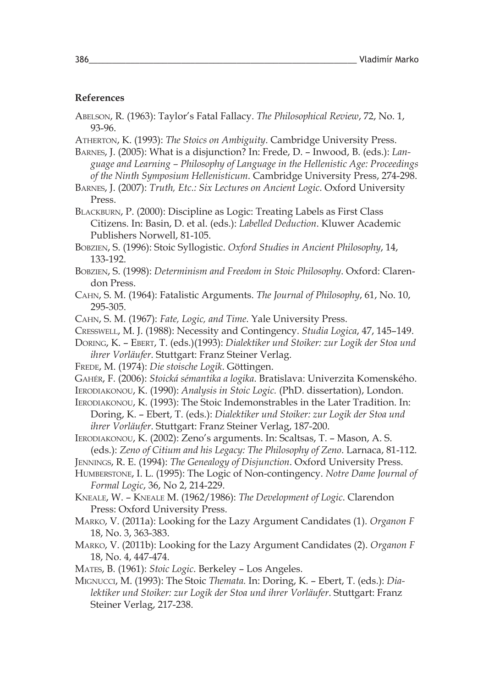#### **References**

- Abelson, R. (1963): Taylor's Fatal Fallacy. *The Philosophical Review*, 72, No. 1, 93-96.
- Atherton, K. (1993): *The Stoics on Ambiguity*. Cambridge University Press.
- Barnes, J. (2005): What is a disjunction? In: Frede, D. Inwood, B. (eds.): *Language and Learning – Philosophy of Language in the Hellenistic Age: Proceedings of the Ninth Symposium Hellenisticum*. Cambridge University Press, 274-298.
- Barnes, J. (2007): *Truth, Etc.: Six Lectures on Ancient Logic*. Oxford University Press.

BLACKBURN, P. (2000): Discipline as Logic: Treating Labels as First Class Citizens. In: Basin, D. et al. (eds.): *Labelled Deduction*. Kluwer Academic Publishers Norwell, 81-105.

Bobzien, S. (1996): Stoic Syllogistic. *Oxford Studies in Ancient Philosophy*, 14, 133-192.

- Bobzien, S. (1998): *Determinism and Freedom in Stoic Philosophy*. Oxford: Clarendon Press.
- Cahn, S. M. (1964): Fatalistic Arguments. *The Journal of Philosophy*, 61, No. 10, 295-305.

Cahn, S. M. (1967): *Fate, Logic, and Time*. Yale University Press.

Cresswell, M. J. (1988): Necessity and Contingency. *Studia Logica*, 47, 145–149.

Doring, K. – Ebert, T. (eds.)(1993): *Dialektiker und Stoiker: zur Logik der Stoa und ihrer Vorläufer*. Stuttgart: Franz Steiner Verlag.

- Frede, M. (1974): *Die stoische Logik*. Göttingen.
- Gahér, F. (2006): *Stoická sémantika a logika*. Bratislava: Univerzita Komenského.
- Ierodiakonou, K. (1990): *Analysis in Stoic Logic.* (PhD. dissertation), London.
- IERODIAKONOU, K. (1993): The Stoic Indemonstrables in the Later Tradition. In: Doring, K. – Ebert, T. (eds.): *Dialektiker und Stoiker: zur Logik der Stoa und ihrer Vorläufer*. Stuttgart: Franz Steiner Verlag, 187-200.
- Ierodiakonou, K. (2002): Zeno's arguments. In: Scaltsas, T. Mason, A. S. (eds.): *Zeno of Citium and his Legacy: The Philosophy of Zeno*. Larnaca, 81-112.
- Jennings, R. E. (1994): *The Genealogy of Disjunction*. Oxford University Press.
- Humberstone, I. L. (1995): The Logic of Non-contingency. *Notre Dame Journal of Formal Logic*, 36, No 2, 214-229.
- Kneale, W. Kneale M. (1962/1986): *The Development of Logic*. Clarendon Press: Oxford University Press.
- Marko, V. (2011a): Looking for the Lazy Argument Candidates (1). *Organon F* 18, No. 3, 363-383.
- Marko, V. (2011b): Looking for the Lazy Argument Candidates (2). *Organon F* 18, No. 4, 447-474.
- Mates, B. (1961): *Stoic Logic*. Berkeley Los Angeles.
- Mignucci, M. (1993): The Stoic *Themata.* In: Doring, K. Ebert, T. (eds.): *Dialektiker und Stoiker: zur Logik der Stoa und ihrer Vorläufer*. Stuttgart: Franz Steiner Verlag, 217-238.